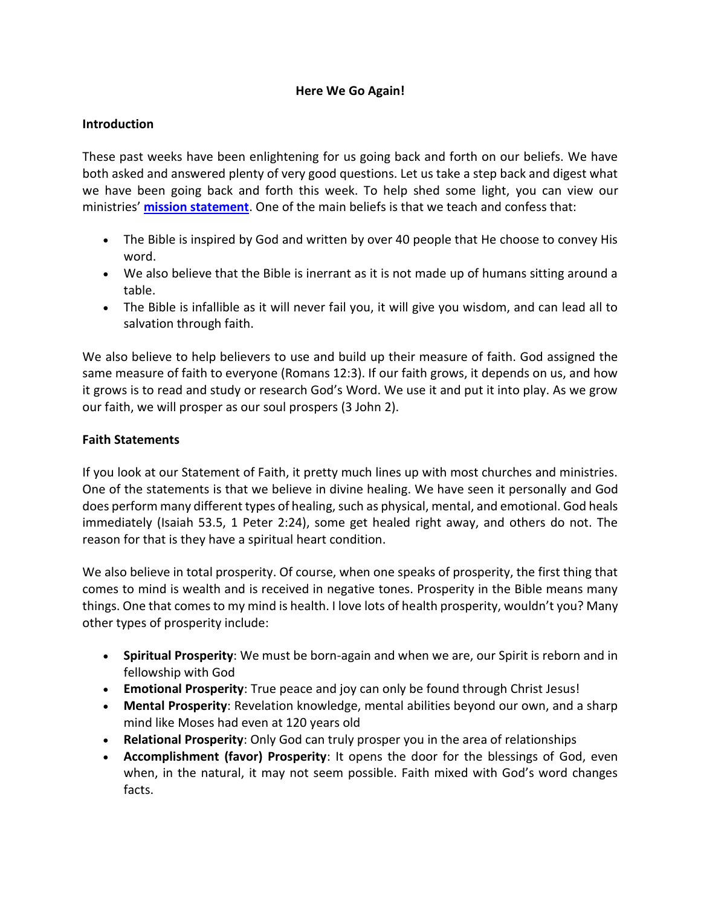# **Here We Go Again!**

### **Introduction**

These past weeks have been enlightening for us going back and forth on our beliefs. We have both asked and answered plenty of very good questions. Let us take a step back and digest what we have been going back and forth this week. To help shed some light, you can view our ministries' **[mission statement](https://vdbm.org/our-mission-statement)**. One of the main beliefs is that we teach and confess that:

- The Bible is inspired by God and written by over 40 people that He choose to convey His word.
- We also believe that the Bible is inerrant as it is not made up of humans sitting around a table.
- The Bible is infallible as it will never fail you, it will give you wisdom, and can lead all to salvation through faith.

We also believe to help believers to use and build up their measure of faith. God assigned the same measure of faith to everyone (Romans 12:3). If our faith grows, it depends on us, and how it grows is to read and study or research God's Word. We use it and put it into play. As we grow our faith, we will prosper as our soul prospers (3 John 2).

# **Faith Statements**

If you look at our Statement of Faith, it pretty much lines up with most churches and ministries. One of the statements is that we believe in divine healing. We have seen it personally and God does perform many different types of healing, such as physical, mental, and emotional. God heals immediately (Isaiah 53.5, 1 Peter 2:24), some get healed right away, and others do not. The reason for that is they have a spiritual heart condition.

We also believe in total prosperity. Of course, when one speaks of prosperity, the first thing that comes to mind is wealth and is received in negative tones. Prosperity in the Bible means many things. One that comes to my mind is health. I love lots of health prosperity, wouldn't you? Many other types of prosperity include:

- **Spiritual Prosperity**: We must be born-again and when we are, our Spirit is reborn and in fellowship with God
- **Emotional Prosperity**: True peace and joy can only be found through Christ Jesus!
- **Mental Prosperity**: Revelation knowledge, mental abilities beyond our own, and a sharp mind like Moses had even at 120 years old
- **Relational Prosperity**: Only God can truly prosper you in the area of relationships
- **Accomplishment (favor) Prosperity**: It opens the door for the blessings of God, even when, in the natural, it may not seem possible. Faith mixed with God's word changes facts.